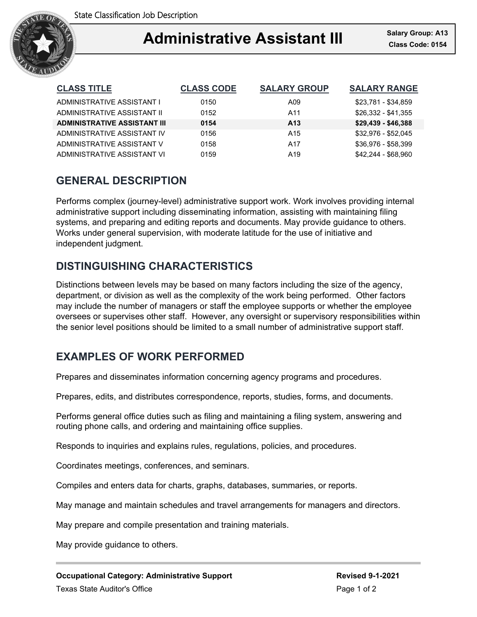

### Ξ **Administrative Assistant III Class Code: 0154**

| <b>CLASS TITLE</b>                  | <b>CLASS CODE</b> | <b>SALARY GROUP</b> | <b>SALARY RANGE</b> |
|-------------------------------------|-------------------|---------------------|---------------------|
| ADMINISTRATIVE ASSISTANT I          | 0150              | A09                 | \$23,781 - \$34,859 |
| ADMINISTRATIVE ASSISTANT II         | 0152              | A11                 | \$26.332 - \$41.355 |
| <b>ADMINISTRATIVE ASSISTANT III</b> | 0154              | A13                 | $$29,439 - $46,388$ |
| ADMINISTRATIVE ASSISTANT IV         | 0156              | A <sub>15</sub>     | \$32.976 - \$52.045 |
| ADMINISTRATIVE ASSISTANT V          | 0158              | A17                 | \$36.976 - \$58.399 |
| ADMINISTRATIVE ASSISTANT VI         | 0159              | A <sub>19</sub>     | \$42,244 - \$68,960 |

# **GENERAL DESCRIPTION**

Performs complex (journey-level) administrative support work. Work involves providing internal administrative support including disseminating information, assisting with maintaining filing systems, and preparing and editing reports and documents. May provide guidance to others. Works under general supervision, with moderate latitude for the use of initiative and independent judgment.

# **DISTINGUISHING CHARACTERISTICS**

Distinctions between levels may be based on many factors including the size of the agency, department, or division as well as the complexity of the work being performed. Other factors may include the number of managers or staff the employee supports or whether the employee oversees or supervises other staff. However, any oversight or supervisory responsibilities within the senior level positions should be limited to a small number of administrative support staff.

## **EXAMPLES OF WORK PERFORMED**

Prepares and disseminates information concerning agency programs and procedures.

Prepares, edits, and distributes correspondence, reports, studies, forms, and documents.

Performs general office duties such as filing and maintaining a filing system, answering and routing phone calls, and ordering and maintaining office supplies.

Responds to inquiries and explains rules, regulations, policies, and procedures.

Coordinates meetings, conferences, and seminars.

Compiles and enters data for charts, graphs, databases, summaries, or reports.

May manage and maintain schedules and travel arrangements for managers and directors.

May prepare and compile presentation and training materials.

May provide guidance to others.